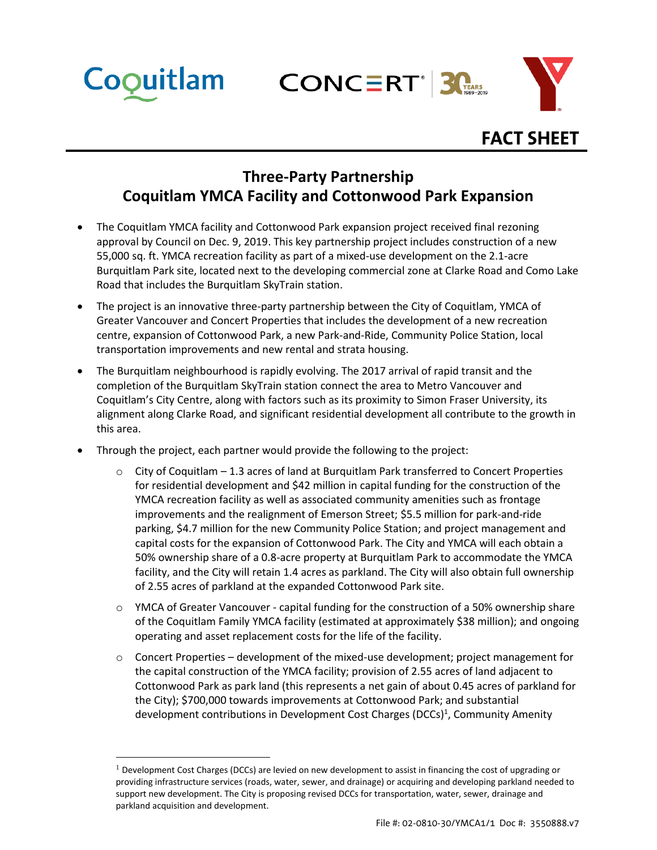**CONCERT 3** 



## **FACT SHEET**

## **Three-Party Partnership Coquitlam YMCA Facility and Cottonwood Park Expansion**

- The Coquitlam YMCA facility and Cottonwood Park expansion project received final rezoning approval by Council on Dec. 9, 2019. This key partnership project includes construction of a new 55,000 sq. ft. YMCA recreation facility as part of a mixed-use development on the 2.1-acre Burquitlam Park site, located next to the developing commercial zone at Clarke Road and Como Lake Road that includes the Burquitlam SkyTrain station.
- The project is an innovative three-party partnership between the City of Coquitlam, YMCA of Greater Vancouver and Concert Properties that includes the development of a new recreation centre, expansion of Cottonwood Park, a new Park-and-Ride, Community Police Station, local transportation improvements and new rental and strata housing.
- The Burquitlam neighbourhood is rapidly evolving. The 2017 arrival of rapid transit and the completion of the Burquitlam SkyTrain station connect the area to Metro Vancouver and Coquitlam's City Centre, along with factors such as its proximity to Simon Fraser University, its alignment along Clarke Road, and significant residential development all contribute to the growth in this area.
- Through the project, each partner would provide the following to the project:

 $\overline{a}$ 

Coquitlam

- $\circ$  City of Coquitlam 1.3 acres of land at Burquitlam Park transferred to Concert Properties for residential development and \$42 million in capital funding for the construction of the YMCA recreation facility as well as associated community amenities such as frontage improvements and the realignment of Emerson Street; \$5.5 million for park-and-ride parking, \$4.7 million for the new Community Police Station; and project management and capital costs for the expansion of Cottonwood Park. The City and YMCA will each obtain a 50% ownership share of a 0.8-acre property at Burquitlam Park to accommodate the YMCA facility, and the City will retain 1.4 acres as parkland. The City will also obtain full ownership of 2.55 acres of parkland at the expanded Cottonwood Park site.
- o YMCA of Greater Vancouver capital funding for the construction of a 50% ownership share of the Coquitlam Family YMCA facility (estimated at approximately \$38 million); and ongoing operating and asset replacement costs for the life of the facility.
- $\circ$  Concert Properties development of the mixed-use development; project management for the capital construction of the YMCA facility; provision of 2.55 acres of land adjacent to Cottonwood Park as park land (this represents a net gain of about 0.45 acres of parkland for the City); \$700,000 towards improvements at Cottonwood Park; and substantial development contributions in Development Cost Charges (DCCs)<sup>1</sup>, Community Amenity

 $<sup>1</sup>$  Development Cost Charges (DCCs) are levied on new development to assist in financing the cost of upgrading or</sup> providing infrastructure services (roads, water, sewer, and drainage) or acquiring and developing parkland needed to support new development. The City is proposing revised DCCs for transportation, water, sewer, drainage and parkland acquisition and development.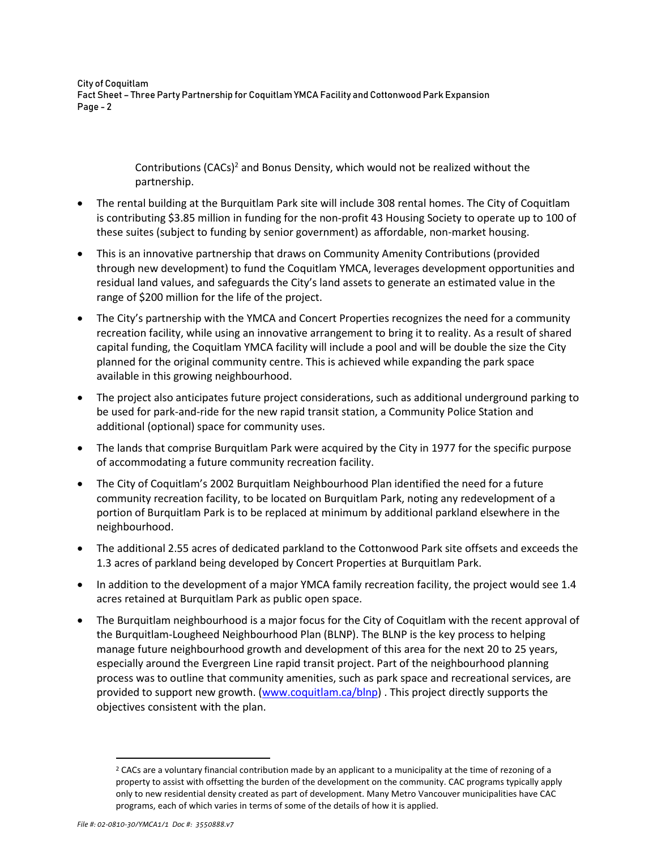City of Coquitlam Fact Sheet – Three Party Partnership for Coquitlam YMCA Facility and Cottonwood Park Expansion Page - 2

> Contributions (CACs)<sup>2</sup> and Bonus Density, which would not be realized without the partnership.

- The rental building at the Burquitlam Park site will include 308 rental homes. The City of Coquitlam is contributing \$3.85 million in funding for the non-profit 43 Housing Society to operate up to 100 of these suites (subject to funding by senior government) as affordable, non-market housing.
- This is an innovative partnership that draws on Community Amenity Contributions (provided through new development) to fund the Coquitlam YMCA, leverages development opportunities and residual land values, and safeguards the City's land assets to generate an estimated value in the range of \$200 million for the life of the project.
- The City's partnership with the YMCA and Concert Properties recognizes the need for a community recreation facility, while using an innovative arrangement to bring it to reality. As a result of shared capital funding, the Coquitlam YMCA facility will include a pool and will be double the size the City planned for the original community centre. This is achieved while expanding the park space available in this growing neighbourhood.
- The project also anticipates future project considerations, such as additional underground parking to be used for park-and-ride for the new rapid transit station, a Community Police Station and additional (optional) space for community uses.
- The lands that comprise Burquitlam Park were acquired by the City in 1977 for the specific purpose of accommodating a future community recreation facility.
- The City of Coquitlam's 2002 Burquitlam Neighbourhood Plan identified the need for a future community recreation facility, to be located on Burquitlam Park, noting any redevelopment of a portion of Burquitlam Park is to be replaced at minimum by additional parkland elsewhere in the neighbourhood.
- The additional 2.55 acres of dedicated parkland to the Cottonwood Park site offsets and exceeds the 1.3 acres of parkland being developed by Concert Properties at Burquitlam Park.
- In addition to the development of a major YMCA family recreation facility, the project would see 1.4 acres retained at Burquitlam Park as public open space.
- The Burquitlam neighbourhood is a major focus for the City of Coquitlam with the recent approval of the Burquitlam-Lougheed Neighbourhood Plan (BLNP). The BLNP is the key process to helping manage future neighbourhood growth and development of this area for the next 20 to 25 years, especially around the Evergreen Line rapid transit project. Part of the neighbourhood planning process was to outline that community amenities, such as park space and recreational services, are provided to support new growth. [\(www.coquitlam.ca/blnp\)](file:///C:/Users/Heather/Downloads/www.coquitlam.ca/blnp). This project directly supports the objectives consistent with the plan.

 $\overline{a}$ 

<sup>&</sup>lt;sup>2</sup> CACs are a voluntary financial contribution made by an applicant to a municipality at the time of rezoning of a property to assist with offsetting the burden of the development on the community. CAC programs typically apply only to new residential density created as part of development. Many Metro Vancouver municipalities have CAC programs, each of which varies in terms of some of the details of how it is applied.